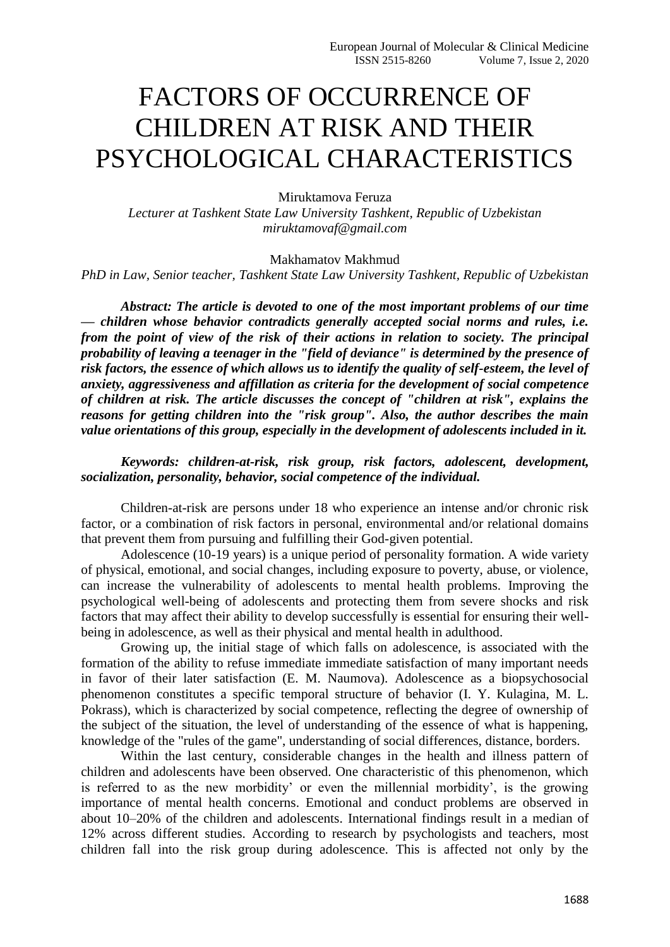## FACTORS OF OCCURRENCE OF CHILDREN AT RISK AND THEIR PSYCHOLOGICAL CHARACTERISTICS

Miruktamova Feruza

*Lecturer at Tashkent State Law University Tashkent, Republic of Uzbekistan [miruktamovaf@g](mailto:miruktamova@mail.ru)mail.com*

Makhamatov Makhmud

*PhD in Law, Senior teacher, Tashkent State Law University Tashkent, Republic of Uzbekistan*

*Abstract: The article is devoted to one of the most important problems of our time — children whose behavior contradicts generally accepted social norms and rules, i.e. from the point of view of the risk of their actions in relation to society. The principal probability of leaving a teenager in the "field of deviance" is determined by the presence of risk factors, the essence of which allows us to identify the quality of self-esteem, the level of anxiety, aggressiveness and affillation as criteria for the development of social competence of children at risk. The article discusses the concept of "children at risk", explains the reasons for getting children into the "risk group". Also, the author describes the main value orientations of this group, especially in the development of adolescents included in it.* 

*Keywords: children-at-risk, risk group, risk factors, adolescent, development, socialization, personality, behavior, social competence of the individual.*

Children-at-risk are persons under 18 who experience an intense and/or chronic risk factor, or a combination of risk factors in personal, environmental and/or relational domains that prevent them from pursuing and fulfilling their God-given potential.

Adolescence (10-19 years) is a unique period of personality formation. A wide variety of physical, emotional, and social changes, including exposure to poverty, abuse, or violence, can increase the vulnerability of adolescents to mental health problems. Improving the psychological well-being of adolescents and protecting them from severe shocks and risk factors that may affect their ability to develop successfully is essential for ensuring their wellbeing in adolescence, as well as their physical and mental health in adulthood.

Growing up, the initial stage of which falls on adolescence, is associated with the formation of the ability to refuse immediate immediate satisfaction of many important needs in favor of their later satisfaction (E. M. Naumova). Adolescence as a biopsychosocial phenomenon constitutes a specific temporal structure of behavior (I. Y. Kulagina, M. L. Pokrass), which is characterized by social competence, reflecting the degree of ownership of the subject of the situation, the level of understanding of the essence of what is happening, knowledge of the "rules of the game", understanding of social differences, distance, borders.

Within the last century, considerable changes in the health and illness pattern of children and adolescents have been observed. One characteristic of this phenomenon, which is referred to as the new morbidity' or even the millennial morbidity', is the growing importance of mental health concerns. Emotional and conduct problems are observed in about 10–20% of the children and adolescents. International findings result in a median of 12% across different studies. According to research by psychologists and teachers, most children fall into the risk group during adolescence. This is affected not only by the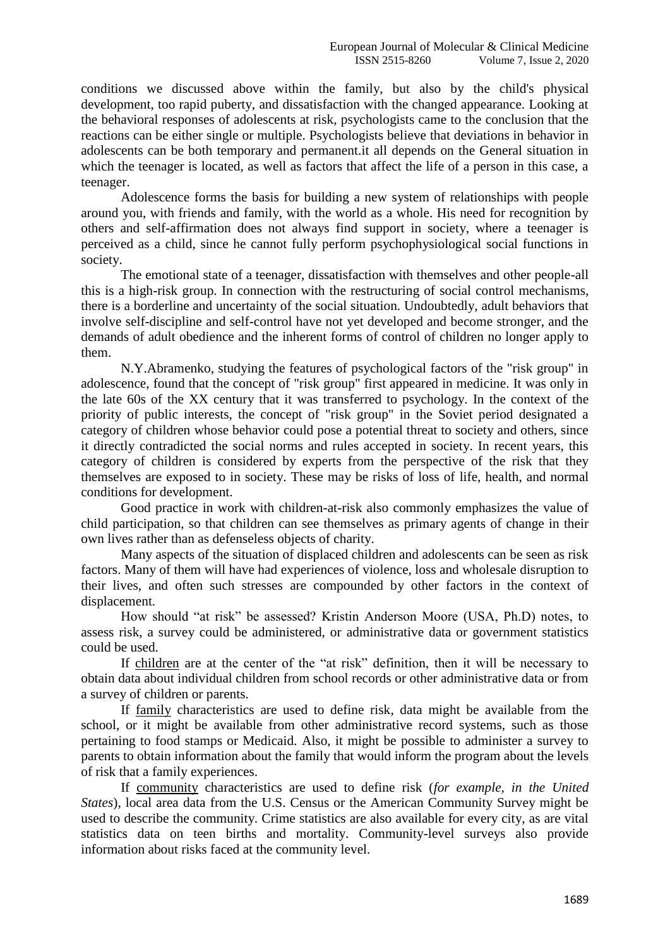conditions we discussed above within the family, but also by the child's physical development, too rapid puberty, and dissatisfaction with the changed appearance. Looking at the behavioral responses of adolescents at risk, psychologists came to the conclusion that the reactions can be either single or multiple. Psychologists believe that deviations in behavior in adolescents can be both temporary and permanent.it all depends on the General situation in which the teenager is located, as well as factors that affect the life of a person in this case, a teenager.

Adolescence forms the basis for building a new system of relationships with people around you, with friends and family, with the world as a whole. His need for recognition by others and self-affirmation does not always find support in society, where a teenager is perceived as a child, since he cannot fully perform psychophysiological social functions in society.

The emotional state of a teenager, dissatisfaction with themselves and other people-all this is a high-risk group. In connection with the restructuring of social control mechanisms, there is a borderline and uncertainty of the social situation. Undoubtedly, adult behaviors that involve self-discipline and self-control have not yet developed and become stronger, and the demands of adult obedience and the inherent forms of control of children no longer apply to them.

N.Y.Abramenko, studying the features of psychological factors of the "risk group" in adolescence, found that the concept of "risk group" first appeared in medicine. It was only in the late 60s of the XX century that it was transferred to psychology. In the context of the priority of public interests, the concept of "risk group" in the Soviet period designated a category of children whose behavior could pose a potential threat to society and others, since it directly contradicted the social norms and rules accepted in society. In recent years, this category of children is considered by experts from the perspective of the risk that they themselves are exposed to in society. These may be risks of loss of life, health, and normal conditions for development.

Good practice in work with children-at-risk also commonly emphasizes the value of child participation, so that children can see themselves as primary agents of change in their own lives rather than as defenseless objects of charity.

Many aspects of the situation of displaced children and adolescents can be seen as risk factors. Many of them will have had experiences of violence, loss and wholesale disruption to their lives, and often such stresses are compounded by other factors in the context of displacement.

How should "at risk" be assessed? Kristin Anderson Moore (USA, Ph.D) notes, to assess risk, a survey could be administered, or administrative data or government statistics could be used.

If children are at the center of the "at risk" definition, then it will be necessary to obtain data about individual children from school records or other administrative data or from a survey of children or parents.

If family characteristics are used to define risk, data might be available from the school, or it might be available from other administrative record systems, such as those pertaining to food stamps or Medicaid. Also, it might be possible to administer a survey to parents to obtain information about the family that would inform the program about the levels of risk that a family experiences.

If community characteristics are used to define risk (*for example, in the United States*), local area data from the U.S. Census or the American Community Survey might be used to describe the community. Crime statistics are also available for every city, as are vital statistics data on teen births and mortality. Community-level surveys also provide information about risks faced at the community level.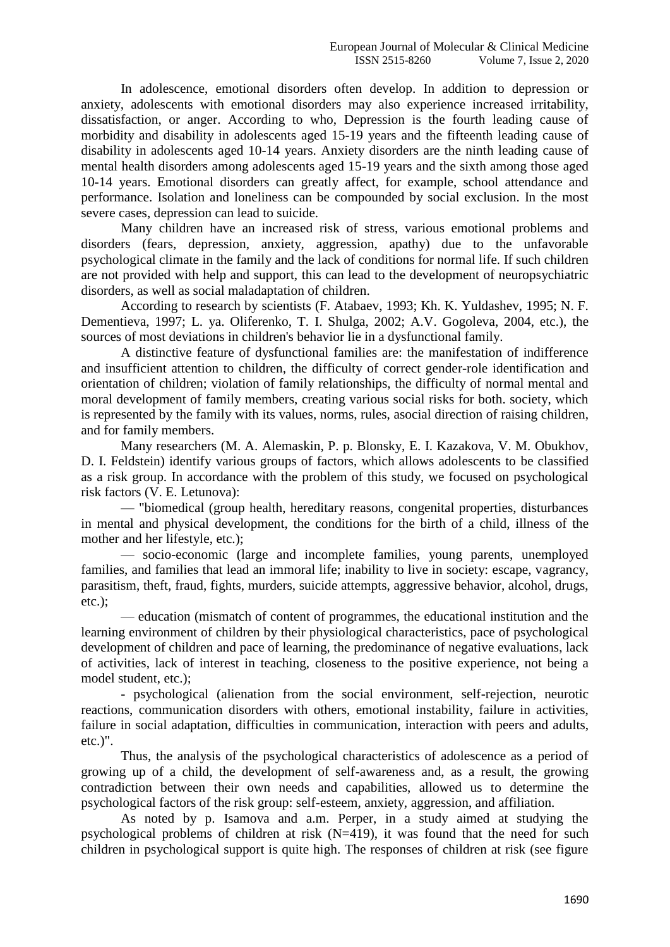In adolescence, emotional disorders often develop. In addition to depression or anxiety, adolescents with emotional disorders may also experience increased irritability, dissatisfaction, or anger. According to who, Depression is the fourth leading cause of morbidity and disability in adolescents aged 15-19 years and the fifteenth leading cause of disability in adolescents aged 10-14 years. Anxiety disorders are the ninth leading cause of mental health disorders among adolescents aged 15-19 years and the sixth among those aged 10-14 years. Emotional disorders can greatly affect, for example, school attendance and performance. Isolation and loneliness can be compounded by social exclusion. In the most severe cases, depression can lead to suicide.

Many children have an increased risk of stress, various emotional problems and disorders (fears, depression, anxiety, aggression, apathy) due to the unfavorable psychological climate in the family and the lack of conditions for normal life. If such children are not provided with help and support, this can lead to the development of neuropsychiatric disorders, as well as social maladaptation of children.

According to research by scientists (F. Atabaev, 1993; Kh. K. Yuldashev, 1995; N. F. Dementieva, 1997; L. ya. Oliferenko, T. I. Shulga, 2002; A.V. Gogoleva, 2004, etc.), the sources of most deviations in children's behavior lie in a dysfunctional family.

A distinctive feature of dysfunctional families are: the manifestation of indifference and insufficient attention to children, the difficulty of correct gender-role identification and orientation of children; violation of family relationships, the difficulty of normal mental and moral development of family members, creating various social risks for both. society, which is represented by the family with its values, norms, rules, asocial direction of raising children, and for family members.

Many researchers (M. A. Alemaskin, P. p. Blonsky, E. I. Kazakova, V. M. Obukhov, D. I. Feldstein) identify various groups of factors, which allows adolescents to be classified as a risk group. In accordance with the problem of this study, we focused on psychological risk factors (V. E. Letunova):

— "biomedical (group health, hereditary reasons, congenital properties, disturbances in mental and physical development, the conditions for the birth of a child, illness of the mother and her lifestyle, etc.);

— socio-economic (large and incomplete families, young parents, unemployed families, and families that lead an immoral life; inability to live in society: escape, vagrancy, parasitism, theft, fraud, fights, murders, suicide attempts, aggressive behavior, alcohol, drugs, etc.);

— education (mismatch of content of programmes, the educational institution and the learning environment of children by their physiological characteristics, pace of psychological development of children and pace of learning, the predominance of negative evaluations, lack of activities, lack of interest in teaching, closeness to the positive experience, not being a model student, etc.);

- psychological (alienation from the social environment, self-rejection, neurotic reactions, communication disorders with others, emotional instability, failure in activities, failure in social adaptation, difficulties in communication, interaction with peers and adults, etc.)".

Thus, the analysis of the psychological characteristics of adolescence as a period of growing up of a child, the development of self-awareness and, as a result, the growing contradiction between their own needs and capabilities, allowed us to determine the psychological factors of the risk group: self-esteem, anxiety, aggression, and affiliation.

As noted by p. Isamova and a.m. Perper, in a study aimed at studying the psychological problems of children at risk  $(N=419)$ , it was found that the need for such children in psychological support is quite high. The responses of children at risk (see figure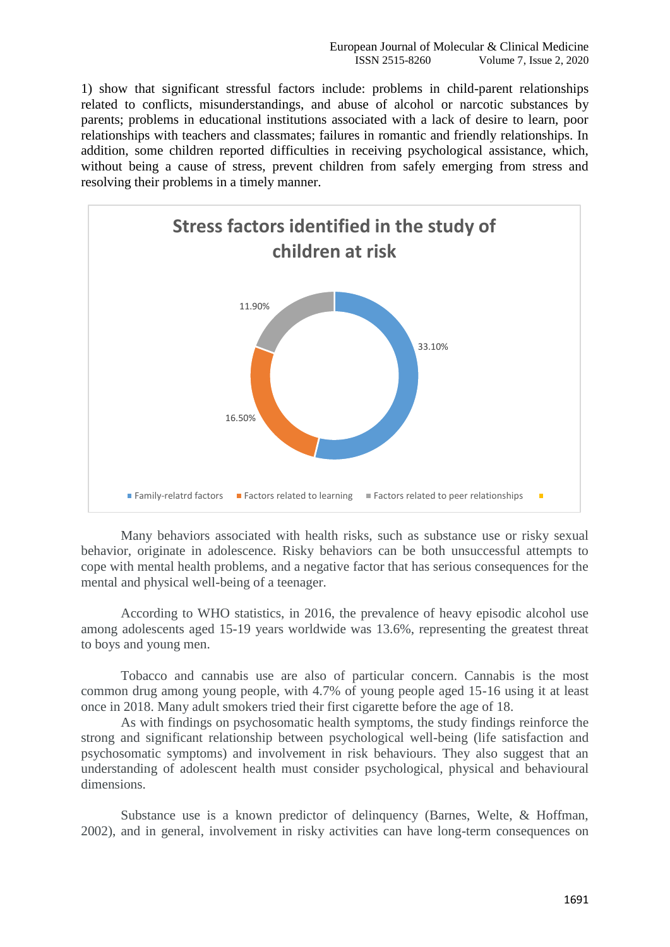1) show that significant stressful factors include: problems in child-parent relationships related to conflicts, misunderstandings, and abuse of alcohol or narcotic substances by parents; problems in educational institutions associated with a lack of desire to learn, poor relationships with teachers and classmates; failures in romantic and friendly relationships. In addition, some children reported difficulties in receiving psychological assistance, which, without being a cause of stress, prevent children from safely emerging from stress and resolving their problems in a timely manner.



Many behaviors associated with health risks, such as substance use or risky sexual behavior, originate in adolescence. Risky behaviors can be both unsuccessful attempts to cope with mental health problems, and a negative factor that has serious consequences for the mental and physical well-being of a teenager.

According to WHO statistics, in 2016, the prevalence of heavy episodic alcohol use among adolescents aged 15-19 years worldwide was 13.6%, representing the greatest threat to boys and young men.

Tobacco and cannabis use are also of particular concern. Cannabis is the most common drug among young people, with 4.7% of young people aged 15-16 using it at least once in 2018. Many adult smokers tried their first cigarette before the age of 18.

As with findings on psychosomatic health symptoms, the study findings reinforce the strong and significant relationship between psychological well-being (life satisfaction and psychosomatic symptoms) and involvement in risk behaviours. They also suggest that an understanding of adolescent health must consider psychological, physical and behavioural dimensions.

Substance use is a known predictor of delinquency (Barnes, Welte, & Hoffman, 2002), and in general, involvement in risky activities can have long-term consequences on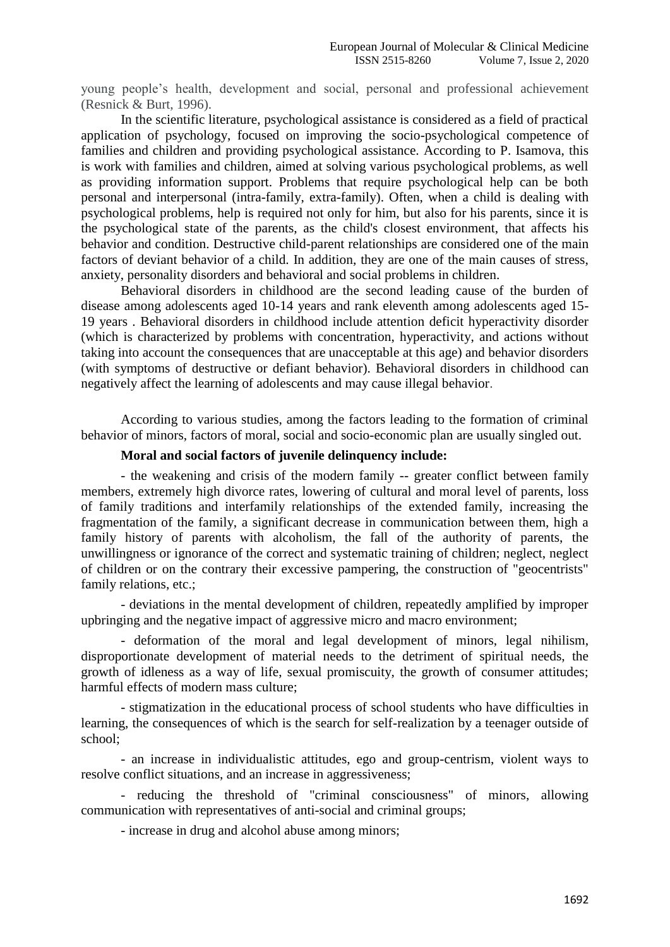young people's health, development and social, personal and professional achievement (Resnick & Burt, 1996).

In the scientific literature, psychological assistance is considered as a field of practical application of psychology, focused on improving the socio-psychological competence of families and children and providing psychological assistance. According to P. Isamova, this is work with families and children, aimed at solving various psychological problems, as well as providing information support. Problems that require psychological help can be both personal and interpersonal (intra-family, extra-family). Often, when a child is dealing with psychological problems, help is required not only for him, but also for his parents, since it is the psychological state of the parents, as the child's closest environment, that affects his behavior and condition. Destructive child-parent relationships are considered one of the main factors of deviant behavior of a child. In addition, they are one of the main causes of stress, anxiety, personality disorders and behavioral and social problems in children.

Behavioral disorders in childhood are the second leading cause of the burden of disease among adolescents aged 10-14 years and rank eleventh among adolescents aged 15- 19 years . Behavioral disorders in childhood include attention deficit hyperactivity disorder (which is characterized by problems with concentration, hyperactivity, and actions without taking into account the consequences that are unacceptable at this age) and behavior disorders (with symptoms of destructive or defiant behavior). Behavioral disorders in childhood can negatively affect the learning of adolescents and may cause illegal behavior.

According to various studies, among the factors leading to the formation of criminal behavior of minors, factors of moral, social and socio-economic plan are usually singled out.

## **Moral and social factors of juvenile delinquency include:**

- the weakening and crisis of the modern family -- greater conflict between family members, extremely high divorce rates, lowering of cultural and moral level of parents, loss of family traditions and interfamily relationships of the extended family, increasing the fragmentation of the family, a significant decrease in communication between them, high a family history of parents with alcoholism, the fall of the authority of parents, the unwillingness or ignorance of the correct and systematic training of children; neglect, neglect of children or on the contrary their excessive pampering, the construction of "geocentrists" family relations, etc.;

- deviations in the mental development of children, repeatedly amplified by improper upbringing and the negative impact of aggressive micro and macro environment;

- deformation of the moral and legal development of minors, legal nihilism, disproportionate development of material needs to the detriment of spiritual needs, the growth of idleness as a way of life, sexual promiscuity, the growth of consumer attitudes; harmful effects of modern mass culture;

- stigmatization in the educational process of school students who have difficulties in learning, the consequences of which is the search for self-realization by a teenager outside of school;

- an increase in individualistic attitudes, ego and group-centrism, violent ways to resolve conflict situations, and an increase in aggressiveness;

- reducing the threshold of "criminal consciousness" of minors, allowing communication with representatives of anti-social and criminal groups;

- increase in drug and alcohol abuse among minors;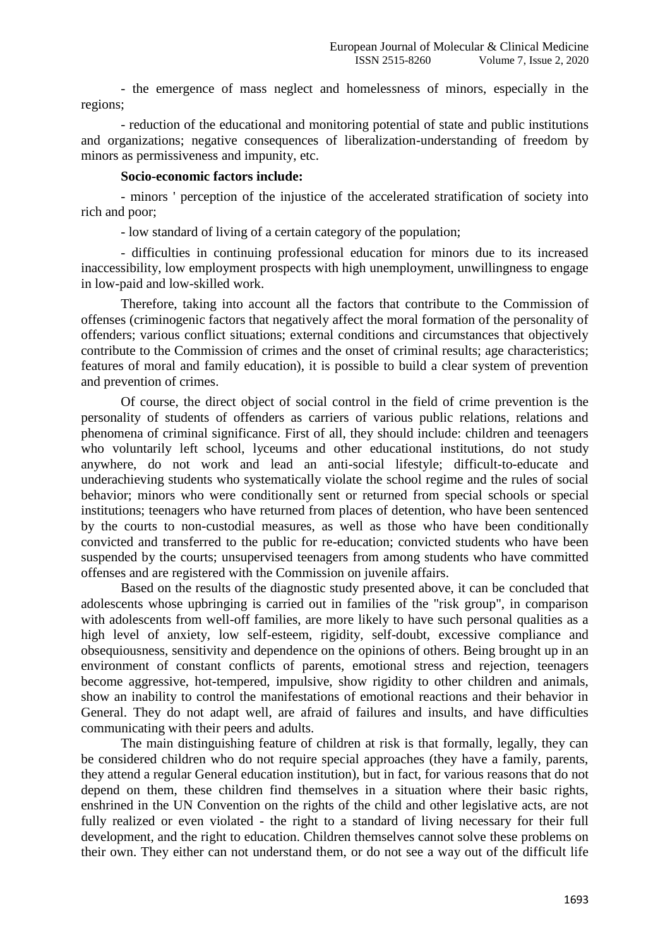- the emergence of mass neglect and homelessness of minors, especially in the regions;

- reduction of the educational and monitoring potential of state and public institutions and organizations; negative consequences of liberalization-understanding of freedom by minors as permissiveness and impunity, etc.

## **Socio-economic factors include:**

- minors ' perception of the injustice of the accelerated stratification of society into rich and poor;

- low standard of living of a certain category of the population;

- difficulties in continuing professional education for minors due to its increased inaccessibility, low employment prospects with high unemployment, unwillingness to engage in low-paid and low-skilled work.

Therefore, taking into account all the factors that contribute to the Commission of offenses (criminogenic factors that negatively affect the moral formation of the personality of offenders; various conflict situations; external conditions and circumstances that objectively contribute to the Commission of crimes and the onset of criminal results; age characteristics; features of moral and family education), it is possible to build a clear system of prevention and prevention of crimes.

Of course, the direct object of social control in the field of crime prevention is the personality of students of offenders as carriers of various public relations, relations and phenomena of criminal significance. First of all, they should include: children and teenagers who voluntarily left school, lyceums and other educational institutions, do not study anywhere, do not work and lead an anti-social lifestyle; difficult-to-educate and underachieving students who systematically violate the school regime and the rules of social behavior; minors who were conditionally sent or returned from special schools or special institutions; teenagers who have returned from places of detention, who have been sentenced by the courts to non-custodial measures, as well as those who have been conditionally convicted and transferred to the public for re-education; convicted students who have been suspended by the courts; unsupervised teenagers from among students who have committed offenses and are registered with the Commission on juvenile affairs.

Based on the results of the diagnostic study presented above, it can be concluded that adolescents whose upbringing is carried out in families of the "risk group", in comparison with adolescents from well-off families, are more likely to have such personal qualities as a high level of anxiety, low self-esteem, rigidity, self-doubt, excessive compliance and obsequiousness, sensitivity and dependence on the opinions of others. Being brought up in an environment of constant conflicts of parents, emotional stress and rejection, teenagers become aggressive, hot-tempered, impulsive, show rigidity to other children and animals, show an inability to control the manifestations of emotional reactions and their behavior in General. They do not adapt well, are afraid of failures and insults, and have difficulties communicating with their peers and adults.

The main distinguishing feature of children at risk is that formally, legally, they can be considered children who do not require special approaches (they have a family, parents, they attend a regular General education institution), but in fact, for various reasons that do not depend on them, these children find themselves in a situation where their basic rights, enshrined in the UN Convention on the rights of the child and other legislative acts, are not fully realized or even violated - the right to a standard of living necessary for their full development, and the right to education. Children themselves cannot solve these problems on their own. They either can not understand them, or do not see a way out of the difficult life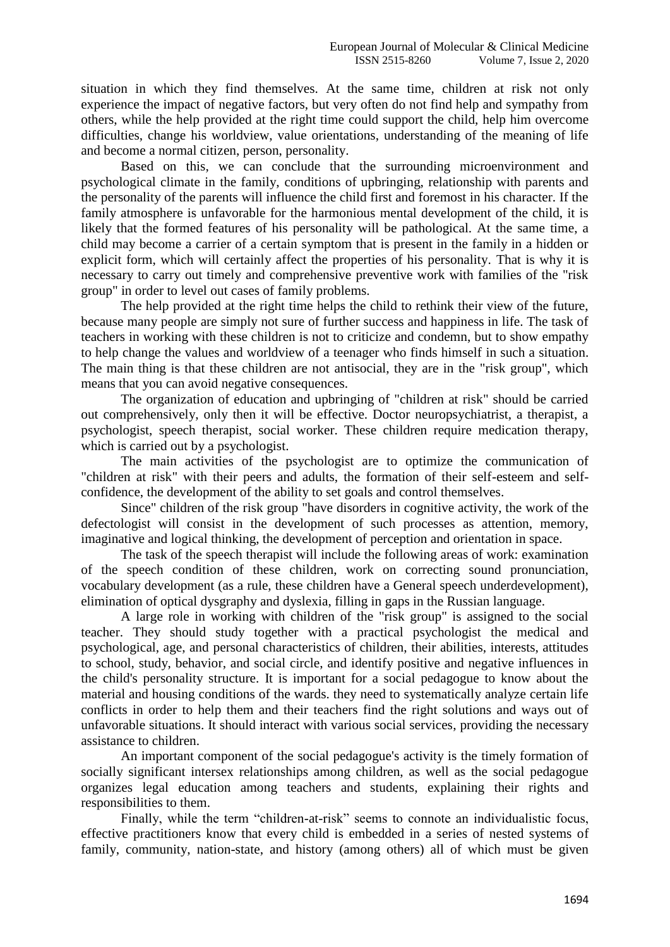situation in which they find themselves. At the same time, children at risk not only experience the impact of negative factors, but very often do not find help and sympathy from others, while the help provided at the right time could support the child, help him overcome difficulties, change his worldview, value orientations, understanding of the meaning of life and become a normal citizen, person, personality.

Based on this, we can conclude that the surrounding microenvironment and psychological climate in the family, conditions of upbringing, relationship with parents and the personality of the parents will influence the child first and foremost in his character. If the family atmosphere is unfavorable for the harmonious mental development of the child, it is likely that the formed features of his personality will be pathological. At the same time, a child may become a carrier of a certain symptom that is present in the family in a hidden or explicit form, which will certainly affect the properties of his personality. That is why it is necessary to carry out timely and comprehensive preventive work with families of the "risk group" in order to level out cases of family problems.

The help provided at the right time helps the child to rethink their view of the future, because many people are simply not sure of further success and happiness in life. The task of teachers in working with these children is not to criticize and condemn, but to show empathy to help change the values and worldview of a teenager who finds himself in such a situation. The main thing is that these children are not antisocial, they are in the "risk group", which means that you can avoid negative consequences.

The organization of education and upbringing of "children at risk" should be carried out comprehensively, only then it will be effective. Doctor neuropsychiatrist, a therapist, a psychologist, speech therapist, social worker. These children require medication therapy, which is carried out by a psychologist.

The main activities of the psychologist are to optimize the communication of "children at risk" with their peers and adults, the formation of their self-esteem and selfconfidence, the development of the ability to set goals and control themselves.

Since" children of the risk group "have disorders in cognitive activity, the work of the defectologist will consist in the development of such processes as attention, memory, imaginative and logical thinking, the development of perception and orientation in space.

The task of the speech therapist will include the following areas of work: examination of the speech condition of these children, work on correcting sound pronunciation, vocabulary development (as a rule, these children have a General speech underdevelopment), elimination of optical dysgraphy and dyslexia, filling in gaps in the Russian language.

A large role in working with children of the "risk group" is assigned to the social teacher. They should study together with a practical psychologist the medical and psychological, age, and personal characteristics of children, their abilities, interests, attitudes to school, study, behavior, and social circle, and identify positive and negative influences in the child's personality structure. It is important for a social pedagogue to know about the material and housing conditions of the wards. they need to systematically analyze certain life conflicts in order to help them and their teachers find the right solutions and ways out of unfavorable situations. It should interact with various social services, providing the necessary assistance to children.

An important component of the social pedagogue's activity is the timely formation of socially significant intersex relationships among children, as well as the social pedagogue organizes legal education among teachers and students, explaining their rights and responsibilities to them.

Finally, while the term "children-at-risk" seems to connote an individualistic focus, effective practitioners know that every child is embedded in a series of nested systems of family, community, nation-state, and history (among others) all of which must be given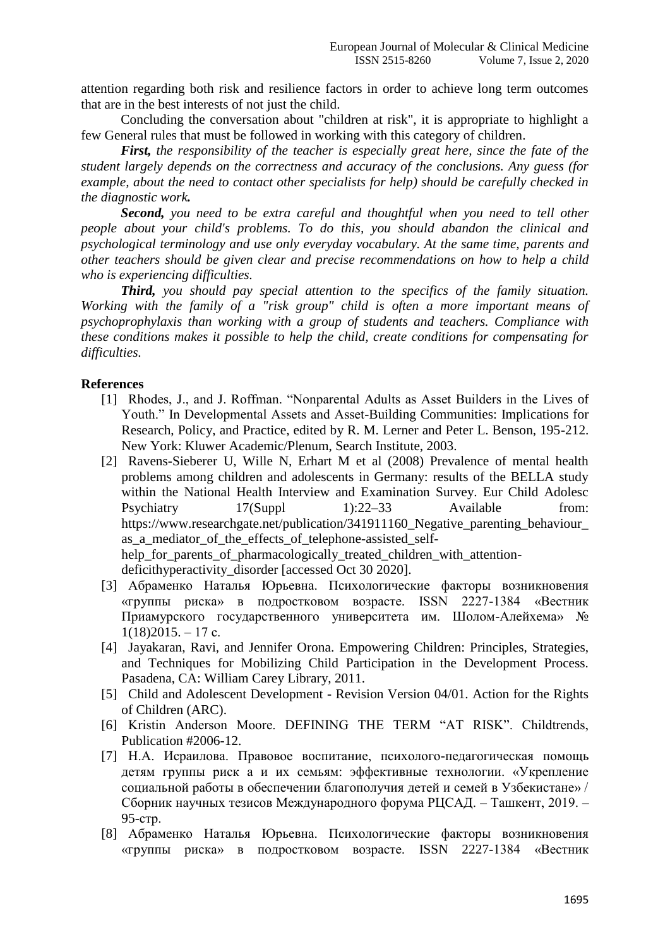attention regarding both risk and resilience factors in order to achieve long term outcomes that are in the best interests of not just the child.

Concluding the conversation about "children at risk", it is appropriate to highlight a few General rules that must be followed in working with this category of children.

*First, the responsibility of the teacher is especially great here, since the fate of the student largely depends on the correctness and accuracy of the conclusions. Any guess (for example, about the need to contact other specialists for help) should be carefully checked in the diagnostic work.* 

*Second, you need to be extra careful and thoughtful when you need to tell other people about your child's problems. To do this, you should abandon the clinical and psychological terminology and use only everyday vocabulary. At the same time, parents and other teachers should be given clear and precise recommendations on how to help a child who is experiencing difficulties.*

*Third, you should pay special attention to the specifics of the family situation. Working with the family of a "risk group" child is often a more important means of psychoprophylaxis than working with a group of students and teachers. Compliance with these conditions makes it possible to help the child, create conditions for compensating for difficulties.*

## **References**

- [1] Rhodes, J., and J. Roffman. "Nonparental Adults as Asset Builders in the Lives of Youth." In Developmental Assets and Asset-Building Communities: Implications for Research, Policy, and Practice, edited by R. M. Lerner and Peter L. Benson, 195-212. New York: Kluwer Academic/Plenum, Search Institute, 2003.
- [2] Ravens-Sieberer U, Wille N, Erhart M et al (2008) Prevalence of mental health problems among children and adolescents in Germany: results of the BELLA study within the National Health Interview and Examination Survey. Eur Child Adolesc Psychiatry 17(Suppl 1):22–33 Available from: https://www.researchgate.net/publication/341911160 Negative parenting behaviour as a mediator of the effects of telephone-assisted selfhelp for parents of pharmacologically treated children with attentiondeficithyperactivity\_disorder [accessed Oct 30 2020].
- [3] Абраменко Наталья Юрьевна. Психологические факторы возникновения «группы риска» в подростковом возрасте. ISSN 2227-1384 «Вестник Приамурского государственного университета им. Шолом-Алейхема» №  $1(18)2015. - 17$  c.
- [4] Jayakaran, Ravi, and Jennifer Orona. Empowering Children: Principles, Strategies, and Techniques for Mobilizing Child Participation in the Development Process. Pasadena, CA: William Carey Library, 2011.
- [5] Child and Adolescent Development Revision Version 04/01. Action for the Rights of Children (ARC).
- [6] Kristin Anderson Moore. DEFINING THE TERM "AT RISK". Childtrends, Publication #2006-12.
- [7] Н.А. Исраилова. Правовое воспитание, психолого-педагогическая помощь детям группы риск а и их семьям: эффективные технологии. «Укрепление социальной работы в обеспечении благополучия детей и семей в Узбекистане» / Сборник научных тезисов Международного форума РЦСАД. – Ташкент, 2019. – 95-стр.
- [8] Абраменко Наталья Юрьевна. Психологические факторы возникновения «группы риска» в подростковом возрасте. ISSN 2227-1384 «Вестник